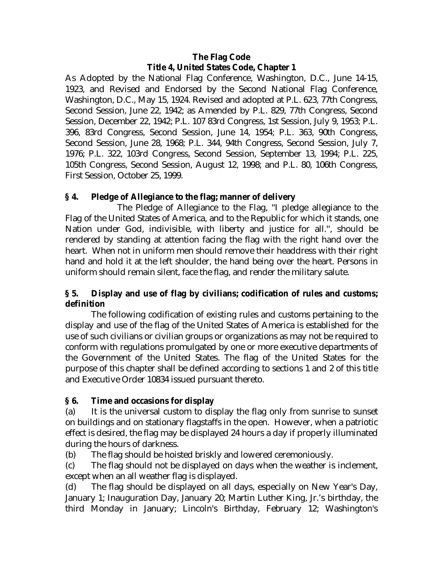### **The Flag Code Title 4, United States Code, Chapter 1**

As Adopted by the National Flag Conference, Washington, D.C., June 14-15, 1923, and Revised and Endorsed by the Second National Flag Conference, Washington, D.C., May 15, 1924. Revised and adopted at P.L. 623, 77th Congress, Second Session, June 22, 1942; as Amended by P.L. 829, 77th Congress, Second Session, December 22, 1942; P.L. 107 83rd Congress, 1st Session, July 9, 1953; P.L. 396, 83rd Congress, Second Session, June 14, 1954; P.L. 363, 90th Congress, Second Session, June 28, 1968; P.L. 344, 94th Congress, Second Session, July 7, 1976; P.L. 322, 103rd Congress, Second Session, September 13, 1994; P.L. 225, 105th Congress, Second Session, August 12, 1998; and P.L. 80, 106th Congress, First Session, October 25, 1999.

### **§ 4. Pledge of Allegiance to the flag; manner of delivery**

The Pledge of Allegiance to the Flag, ''I pledge allegiance to the Flag of the United States of America, and to the Republic for which it stands, one Nation under God, indivisible, with liberty and justice for all.'', should be rendered by standing at attention facing the flag with the right hand over the heart. When not in uniform men should remove their headdress with their right hand and hold it at the left shoulder, the hand being over the heart. Persons in uniform should remain silent, face the flag, and render the military salute.

### **§ 5. Display and use of flag by civilians; codification of rules and customs; definition**

The following codification of existing rules and customs pertaining to the display and use of the flag of the United States of America is established for the use of such civilians or civilian groups or organizations as may not be required to conform with regulations promulgated by one or more executive departments of the Government of the United States. The flag of the United States for the purpose of this chapter shall be defined according to sections 1 and 2 of this title and Executive Order 10834 issued pursuant thereto.

### **§ 6. Time and occasions for display**

(a) It is the universal custom to display the flag only from sunrise to sunset on buildings and on stationary flagstaffs in the open. However, when a patriotic effect is desired, the flag may be displayed 24 hours a day if properly illuminated during the hours of darkness.

(b) The flag should be hoisted briskly and lowered ceremoniously.

(c) The flag should not be displayed on days when the weather is inclement, except when an all weather flag is displayed.

(d) The flag should be displayed on all days, especially on New Year's Day, January 1; Inauguration Day, January 20; Martin Luther King, Jr.'s birthday, the third Monday in January; Lincoln's Birthday, February 12; Washington's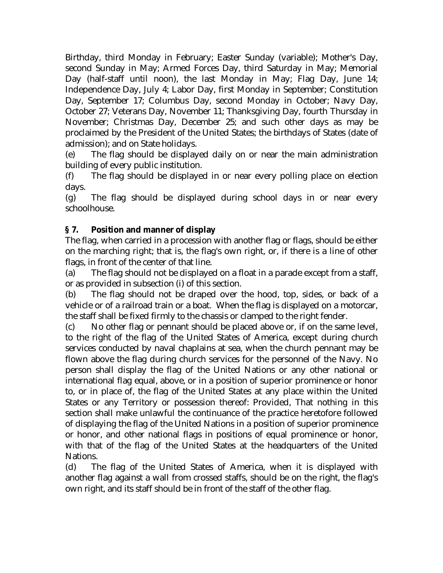Birthday, third Monday in February; Easter Sunday (variable); Mother's Day, second Sunday in May; Armed Forces Day, third Saturday in May; Memorial Day (half-staff until noon), the last Monday in May; Flag Day, June 14; Independence Day, July 4; Labor Day, first Monday in September; Constitution Day, September 17; Columbus Day, second Monday in October; Navy Day, October 27; Veterans Day, November 11; Thanksgiving Day, fourth Thursday in November; Christmas Day, December 25; and such other days as may be proclaimed by the President of the United States; the birthdays of States (date of admission); and on State holidays.

(e) The flag should be displayed daily on or near the main administration building of every public institution.

(f) The flag should be displayed in or near every polling place on election days.

(g) The flag should be displayed during school days in or near every schoolhouse.

# **§ 7. Position and manner of display**

The flag, when carried in a procession with another flag or flags, should be either on the marching right; that is, the flag's own right, or, if there is a line of other flags, in front of the center of that line.

(a) The flag should not be displayed on a float in a parade except from a staff, or as provided in subsection (i) of this section.

(b) The flag should not be draped over the hood, top, sides, or back of a vehicle or of a railroad train or a boat. When the flag is displayed on a motorcar, the staff shall be fixed firmly to the chassis or clamped to the right fender.

(c) No other flag or pennant should be placed above or, if on the same level, to the right of the flag of the United States of America, except during church services conducted by naval chaplains at sea, when the church pennant may be flown above the flag during church services for the personnel of the Navy. No person shall display the flag of the United Nations or any other national or international flag equal, above, or in a position of superior prominence or honor to, or in place of, the flag of the United States at any place within the United States or any Territory or possession thereof: Provided, That nothing in this section shall make unlawful the continuance of the practice heretofore followed of displaying the flag of the United Nations in a position of superior prominence or honor, and other national flags in positions of equal prominence or honor, with that of the flag of the United States at the headquarters of the United Nations.

(d) The flag of the United States of America, when it is displayed with another flag against a wall from crossed staffs, should be on the right, the flag's own right, and its staff should be in front of the staff of the other flag.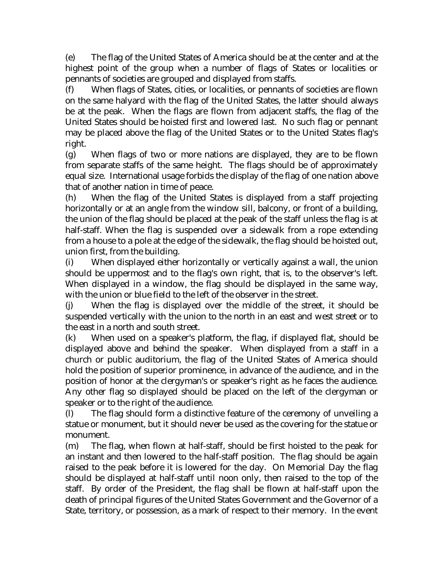(e) The flag of the United States of America should be at the center and at the highest point of the group when a number of flags of States or localities or pennants of societies are grouped and displayed from staffs.

(f) When flags of States, cities, or localities, or pennants of societies are flown on the same halyard with the flag of the United States, the latter should always be at the peak. When the flags are flown from adjacent staffs, the flag of the United States should be hoisted first and lowered last. No such flag or pennant may be placed above the flag of the United States or to the United States flag's right.

(g) When flags of two or more nations are displayed, they are to be flown from separate staffs of the same height. The flags should be of approximately equal size. International usage forbids the display of the flag of one nation above that of another nation in time of peace.

(h) When the flag of the United States is displayed from a staff projecting horizontally or at an angle from the window sill, balcony, or front of a building, the union of the flag should be placed at the peak of the staff unless the flag is at half-staff. When the flag is suspended over a sidewalk from a rope extending from a house to a pole at the edge of the sidewalk, the flag should be hoisted out, union first, from the building.

(i) When displayed either horizontally or vertically against a wall, the union should be uppermost and to the flag's own right, that is, to the observer's left. When displayed in a window, the flag should be displayed in the same way, with the union or blue field to the left of the observer in the street.

(j) When the flag is displayed over the middle of the street, it should be suspended vertically with the union to the north in an east and west street or to the east in a north and south street.

(k) When used on a speaker's platform, the flag, if displayed flat, should be displayed above and behind the speaker. When displayed from a staff in a church or public auditorium, the flag of the United States of America should hold the position of superior prominence, in advance of the audience, and in the position of honor at the clergyman's or speaker's right as he faces the audience. Any other flag so displayed should be placed on the left of the clergyman or speaker or to the right of the audience.

(l) The flag should form a distinctive feature of the ceremony of unveiling a statue or monument, but it should never be used as the covering for the statue or monument.

(m) The flag, when flown at half-staff, should be first hoisted to the peak for an instant and then lowered to the half-staff position. The flag should be again raised to the peak before it is lowered for the day. On Memorial Day the flag should be displayed at half-staff until noon only, then raised to the top of the staff. By order of the President, the flag shall be flown at half-staff upon the death of principal figures of the United States Government and the Governor of a State, territory, or possession, as a mark of respect to their memory. In the event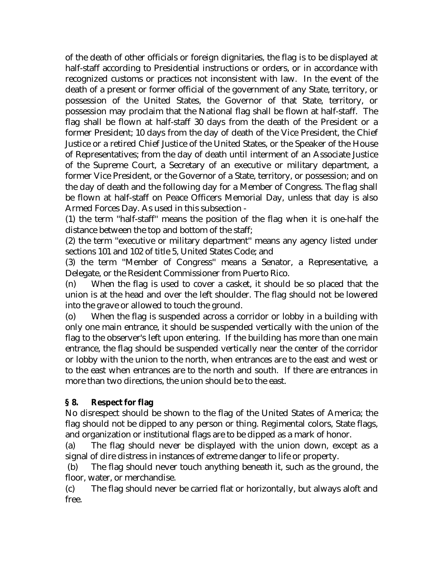of the death of other officials or foreign dignitaries, the flag is to be displayed at half-staff according to Presidential instructions or orders, or in accordance with recognized customs or practices not inconsistent with law. In the event of the death of a present or former official of the government of any State, territory, or possession of the United States, the Governor of that State, territory, or possession may proclaim that the National flag shall be flown at half-staff. The flag shall be flown at half-staff 30 days from the death of the President or a former President; 10 days from the day of death of the Vice President, the Chief Justice or a retired Chief Justice of the United States, or the Speaker of the House of Representatives; from the day of death until interment of an Associate Justice of the Supreme Court, a Secretary of an executive or military department, a former Vice President, or the Governor of a State, territory, or possession; and on the day of death and the following day for a Member of Congress. The flag shall be flown at half-staff on Peace Officers Memorial Day, unless that day is also Armed Forces Day. As used in this subsection -

(1) the term ''half-staff'' means the position of the flag when it is one-half the distance between the top and bottom of the staff;

(2) the term ''executive or military department'' means any agency listed under sections 101 and 102 of title 5, United States Code; and

(3) the term ''Member of Congress'' means a Senator, a Representative, a Delegate, or the Resident Commissioner from Puerto Rico.

(n) When the flag is used to cover a casket, it should be so placed that the union is at the head and over the left shoulder. The flag should not be lowered into the grave or allowed to touch the ground.

(o) When the flag is suspended across a corridor or lobby in a building with only one main entrance, it should be suspended vertically with the union of the flag to the observer's left upon entering. If the building has more than one main entrance, the flag should be suspended vertically near the center of the corridor or lobby with the union to the north, when entrances are to the east and west or to the east when entrances are to the north and south. If there are entrances in more than two directions, the union should be to the east.

## **§ 8. Respect for flag**

No disrespect should be shown to the flag of the United States of America; the flag should not be dipped to any person or thing. Regimental colors, State flags, and organization or institutional flags are to be dipped as a mark of honor.

(a) The flag should never be displayed with the union down, except as a signal of dire distress in instances of extreme danger to life or property.

 (b) The flag should never touch anything beneath it, such as the ground, the floor, water, or merchandise.

(c) The flag should never be carried flat or horizontally, but always aloft and free.